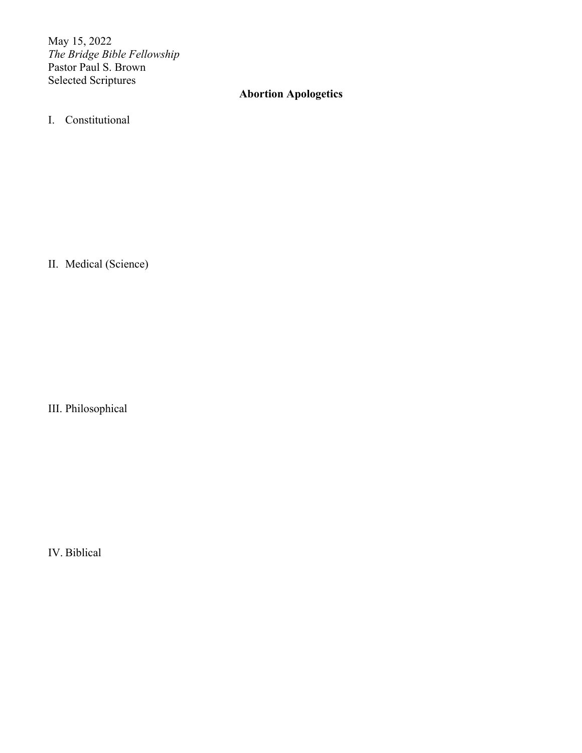May 15, 2022 *The Bridge Bible Fellowship* Pastor Paul S. Brown Selected Scriptures

# **Abortion Apologetics**

I. Constitutional

II. Medical (Science)

III. Philosophical

IV. Biblical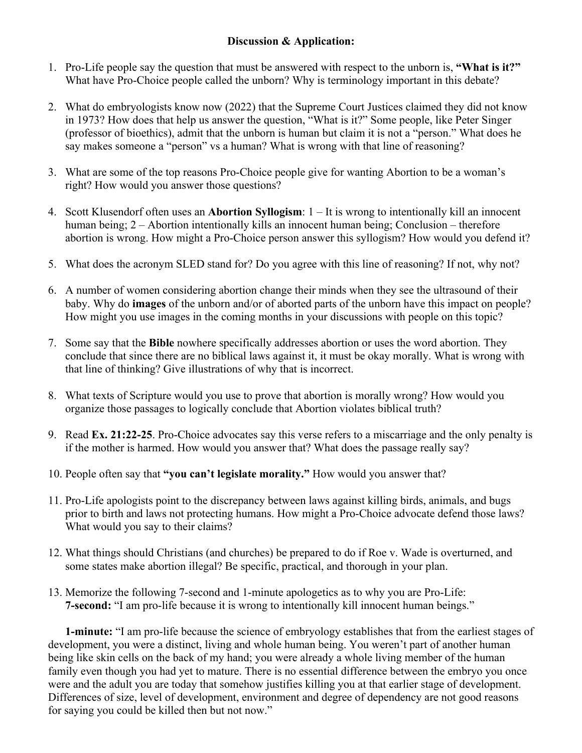## **Discussion & Application:**

- 1. Pro-Life people say the question that must be answered with respect to the unborn is, **"What is it?"** What have Pro-Choice people called the unborn? Why is terminology important in this debate?
- 2. What do embryologists know now (2022) that the Supreme Court Justices claimed they did not know in 1973? How does that help us answer the question, "What is it?" Some people, like Peter Singer (professor of bioethics), admit that the unborn is human but claim it is not a "person." What does he say makes someone a "person" vs a human? What is wrong with that line of reasoning?
- 3. What are some of the top reasons Pro-Choice people give for wanting Abortion to be a woman's right? How would you answer those questions?
- 4. Scott Klusendorf often uses an **Abortion Syllogism**: 1 It is wrong to intentionally kill an innocent human being; 2 – Abortion intentionally kills an innocent human being; Conclusion – therefore abortion is wrong. How might a Pro-Choice person answer this syllogism? How would you defend it?
- 5. What does the acronym SLED stand for? Do you agree with this line of reasoning? If not, why not?
- 6. A number of women considering abortion change their minds when they see the ultrasound of their baby. Why do **images** of the unborn and/or of aborted parts of the unborn have this impact on people? How might you use images in the coming months in your discussions with people on this topic?
- 7. Some say that the **Bible** nowhere specifically addresses abortion or uses the word abortion. They conclude that since there are no biblical laws against it, it must be okay morally. What is wrong with that line of thinking? Give illustrations of why that is incorrect.
- 8. What texts of Scripture would you use to prove that abortion is morally wrong? How would you organize those passages to logically conclude that Abortion violates biblical truth?
- 9. Read **Ex. 21:22-25**. Pro-Choice advocates say this verse refers to a miscarriage and the only penalty is if the mother is harmed. How would you answer that? What does the passage really say?
- 10. People often say that **"you can't legislate morality."** How would you answer that?
- 11. Pro-Life apologists point to the discrepancy between laws against killing birds, animals, and bugs prior to birth and laws not protecting humans. How might a Pro-Choice advocate defend those laws? What would you say to their claims?
- 12. What things should Christians (and churches) be prepared to do if Roe v. Wade is overturned, and some states make abortion illegal? Be specific, practical, and thorough in your plan.
- 13. Memorize the following 7-second and 1-minute apologetics as to why you are Pro-Life: **7-second:** "I am pro-life because it is wrong to intentionally kill innocent human beings."

**1-minute:** "I am pro-life because the science of embryology establishes that from the earliest stages of development, you were a distinct, living and whole human being. You weren't part of another human being like skin cells on the back of my hand; you were already a whole living member of the human family even though you had yet to mature. There is no essential difference between the embryo you once were and the adult you are today that somehow justifies killing you at that earlier stage of development. Differences of size, level of development, environment and degree of dependency are not good reasons for saying you could be killed then but not now."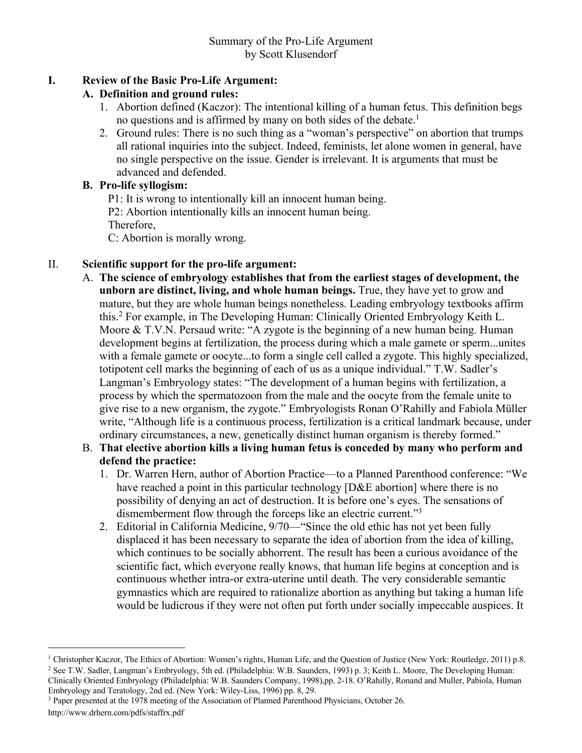# **I. Review of the Basic Pro-Life Argument:**

## **A. Definition and ground rules:**

- 1. Abortion defined (Kaczor): The intentional killing of a human fetus. This definition begs no questions and is affirmed by many on both sides of the debate.<sup>1</sup>
- 2. Ground rules: There is no such thing as a "woman's perspective" on abortion that trumps all rational inquiries into the subject. Indeed, feminists, let alone women in general, have no single perspective on the issue. Gender is irrelevant. It is arguments that must be advanced and defended.

## **B. Pro-life syllogism:**

P1: It is wrong to intentionally kill an innocent human being.

P2: Abortion intentionally kills an innocent human being.

Therefore,

C: Abortion is morally wrong.

# II. **Scientific support for the pro-life argument:**

- A. **The science of embryology establishes that from the earliest stages of development, the unborn are distinct, living, and whole human beings.** True, they have yet to grow and mature, but they are whole human beings nonetheless. Leading embryology textbooks affirm this.2 For example, in The Developing Human: Clinically Oriented Embryology Keith L. Moore & T.V.N. Persaud write: "A zygote is the beginning of a new human being. Human development begins at fertilization, the process during which a male gamete or sperm...unites with a female gamete or oocyte...to form a single cell called a zygote. This highly specialized, totipotent cell marks the beginning of each of us as a unique individual." T.W. Sadler's Langman's Embryology states: "The development of a human begins with fertilization, a process by which the spermatozoon from the male and the oocyte from the female unite to give rise to a new organism, the zygote." Embryologists Ronan O'Rahilly and Fabiola Müller write, "Although life is a continuous process, fertilization is a critical landmark because, under ordinary circumstances, a new, genetically distinct human organism is thereby formed."
- B. **That elective abortion kills a living human fetus is conceded by many who perform and defend the practice:**
	- 1. Dr. Warren Hern, author of Abortion Practice—to a Planned Parenthood conference: "We have reached a point in this particular technology [D&E abortion] where there is no possibility of denying an act of destruction. It is before one's eyes. The sensations of dismemberment flow through the forceps like an electric current."<sup>3</sup>
	- 2. Editorial in California Medicine, 9/70—"Since the old ethic has not yet been fully displaced it has been necessary to separate the idea of abortion from the idea of killing, which continues to be socially abhorrent. The result has been a curious avoidance of the scientific fact, which everyone really knows, that human life begins at conception and is continuous whether intra-or extra-uterine until death. The very considerable semantic gymnastics which are required to rationalize abortion as anything but taking a human life would be ludicrous if they were not often put forth under socially impeccable auspices. It

<sup>&</sup>lt;sup>1</sup> Christopher Kaczor, The Ethics of Abortion: Women's rights, Human Life, and the Question of Justice (New York: Routledge, 2011) p.8. <sup>2</sup> See T.W. Sadler, Langman's Embryology, 5th ed. (Philadelphia: W.B. Saunders, 1993) p. 3; Keith L. Moore, The Developing Human:

Clinically Oriented Embryology (Philadelphia: W.B. Saunders Company, 1998),pp. 2-18. O'Rahilly, Ronand and Muller, Pabiola, Human Embryology and Teratology, 2nd ed. (New York: Wiley-Liss, 1996) pp. 8, 29.

<sup>3</sup> Paper presented at the 1978 meeting of the Association of Planned Parenthood Physicians, October 26. http://www.drhern.com/pdfs/staffrx.pdf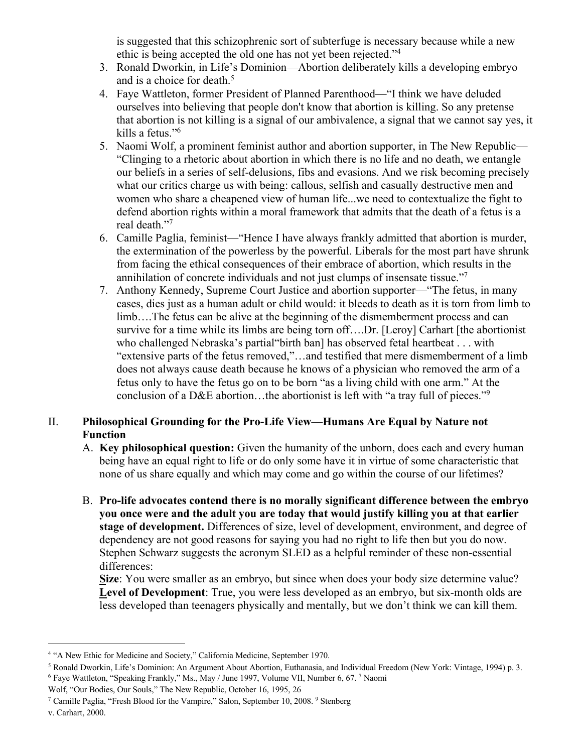is suggested that this schizophrenic sort of subterfuge is necessary because while a new ethic is being accepted the old one has not yet been rejected."4

- 3. Ronald Dworkin, in Life's Dominion—Abortion deliberately kills a developing embryo and is a choice for death.<sup>5</sup>
- 4. Faye Wattleton, former President of Planned Parenthood—"I think we have deluded ourselves into believing that people don't know that abortion is killing. So any pretense that abortion is not killing is a signal of our ambivalence, a signal that we cannot say yes, it kills a fetus."6
- 5. Naomi Wolf, a prominent feminist author and abortion supporter, in The New Republic— "Clinging to a rhetoric about abortion in which there is no life and no death, we entangle our beliefs in a series of self-delusions, fibs and evasions. And we risk becoming precisely what our critics charge us with being: callous, selfish and casually destructive men and women who share a cheapened view of human life...we need to contextualize the fight to defend abortion rights within a moral framework that admits that the death of a fetus is a real death."7
- 6. Camille Paglia, feminist—"Hence I have always frankly admitted that abortion is murder, the extermination of the powerless by the powerful. Liberals for the most part have shrunk from facing the ethical consequences of their embrace of abortion, which results in the annihilation of concrete individuals and not just clumps of insensate tissue."7
- 7. Anthony Kennedy, Supreme Court Justice and abortion supporter—"The fetus, in many cases, dies just as a human adult or child would: it bleeds to death as it is torn from limb to limb….The fetus can be alive at the beginning of the dismemberment process and can survive for a time while its limbs are being torn off….Dr. [Leroy] Carhart [the abortionist who challenged Nebraska's partial"birth ban] has observed fetal heartbeat . . . with "extensive parts of the fetus removed,"…and testified that mere dismemberment of a limb does not always cause death because he knows of a physician who removed the arm of a fetus only to have the fetus go on to be born "as a living child with one arm." At the conclusion of a D&E abortion…the abortionist is left with "a tray full of pieces."9

# II. **Philosophical Grounding for the Pro-Life View—Humans Are Equal by Nature not Function**

- A. **Key philosophical question:** Given the humanity of the unborn, does each and every human being have an equal right to life or do only some have it in virtue of some characteristic that none of us share equally and which may come and go within the course of our lifetimes?
- B. **Pro-life advocates contend there is no morally significant difference between the embryo you once were and the adult you are today that would justify killing you at that earlier stage of development.** Differences of size, level of development, environment, and degree of dependency are not good reasons for saying you had no right to life then but you do now. Stephen Schwarz suggests the acronym SLED as a helpful reminder of these non-essential differences:

**Size**: You were smaller as an embryo, but since when does your body size determine value? **Level of Development**: True, you were less developed as an embryo, but six-month olds are less developed than teenagers physically and mentally, but we don't think we can kill them.

<sup>4</sup> "A New Ethic for Medicine and Society," California Medicine, September 1970.

<sup>5</sup> Ronald Dworkin, Life's Dominion: An Argument About Abortion, Euthanasia, and Individual Freedom (New York: Vintage, 1994) p. 3. <sup>6</sup> Faye Wattleton, "Speaking Frankly," Ms., May / June 1997, Volume VII, Number 6, 67. 7 Naomi

Wolf, "Our Bodies, Our Souls," The New Republic, October 16, 1995, 26

<sup>&</sup>lt;sup>7</sup> Camille Paglia, "Fresh Blood for the Vampire," Salon, September 10, 2008. <sup>9</sup> Stenberg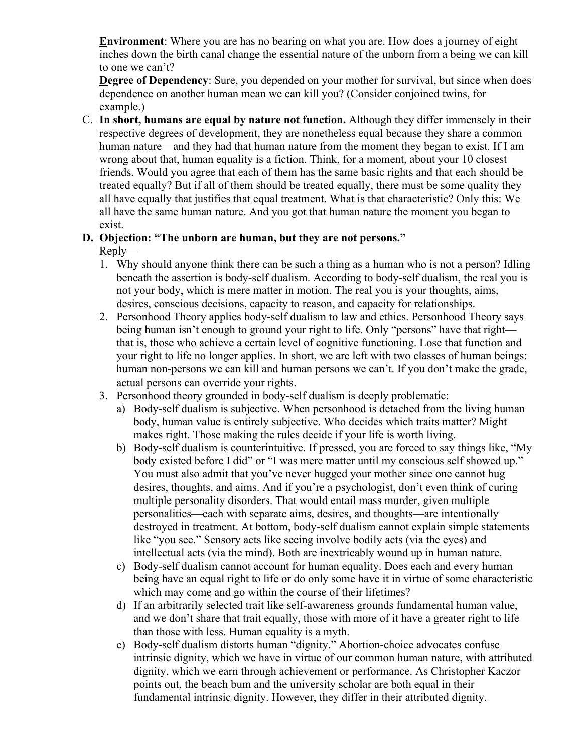**Environment**: Where you are has no bearing on what you are. How does a journey of eight inches down the birth canal change the essential nature of the unborn from a being we can kill to one we can't?

**Degree of Dependency**: Sure, you depended on your mother for survival, but since when does dependence on another human mean we can kill you? (Consider conjoined twins, for example.)

C. **In short, humans are equal by nature not function.** Although they differ immensely in their respective degrees of development, they are nonetheless equal because they share a common human nature—and they had that human nature from the moment they began to exist. If I am wrong about that, human equality is a fiction. Think, for a moment, about your 10 closest friends. Would you agree that each of them has the same basic rights and that each should be treated equally? But if all of them should be treated equally, there must be some quality they all have equally that justifies that equal treatment. What is that characteristic? Only this: We all have the same human nature. And you got that human nature the moment you began to exist.

### **D. Objection: "The unborn are human, but they are not persons."** Reply—

- 1. Why should anyone think there can be such a thing as a human who is not a person? Idling beneath the assertion is body-self dualism. According to body-self dualism, the real you is not your body, which is mere matter in motion. The real you is your thoughts, aims, desires, conscious decisions, capacity to reason, and capacity for relationships.
- 2. Personhood Theory applies body-self dualism to law and ethics. Personhood Theory says being human isn't enough to ground your right to life. Only "persons" have that right that is, those who achieve a certain level of cognitive functioning. Lose that function and your right to life no longer applies. In short, we are left with two classes of human beings: human non-persons we can kill and human persons we can't. If you don't make the grade, actual persons can override your rights.
- 3. Personhood theory grounded in body-self dualism is deeply problematic:
	- a) Body-self dualism is subjective. When personhood is detached from the living human body, human value is entirely subjective. Who decides which traits matter? Might makes right. Those making the rules decide if your life is worth living.
	- b) Body-self dualism is counterintuitive. If pressed, you are forced to say things like, "My body existed before I did" or "I was mere matter until my conscious self showed up." You must also admit that you've never hugged your mother since one cannot hug desires, thoughts, and aims. And if you're a psychologist, don't even think of curing multiple personality disorders. That would entail mass murder, given multiple personalities—each with separate aims, desires, and thoughts—are intentionally destroyed in treatment. At bottom, body-self dualism cannot explain simple statements like "you see." Sensory acts like seeing involve bodily acts (via the eyes) and intellectual acts (via the mind). Both are inextricably wound up in human nature.
	- c) Body-self dualism cannot account for human equality. Does each and every human being have an equal right to life or do only some have it in virtue of some characteristic which may come and go within the course of their lifetimes?
	- d) If an arbitrarily selected trait like self-awareness grounds fundamental human value, and we don't share that trait equally, those with more of it have a greater right to life than those with less. Human equality is a myth.
	- e) Body-self dualism distorts human "dignity." Abortion-choice advocates confuse intrinsic dignity, which we have in virtue of our common human nature, with attributed dignity, which we earn through achievement or performance. As Christopher Kaczor points out, the beach bum and the university scholar are both equal in their fundamental intrinsic dignity. However, they differ in their attributed dignity.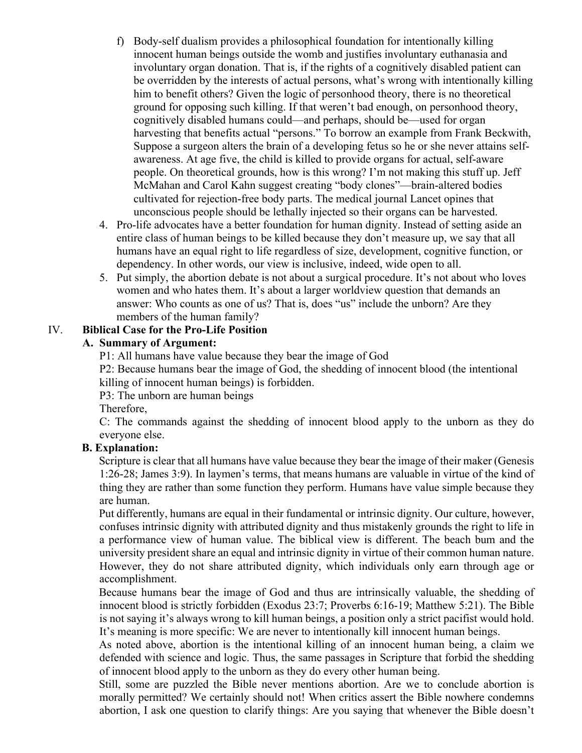- f) Body-self dualism provides a philosophical foundation for intentionally killing innocent human beings outside the womb and justifies involuntary euthanasia and involuntary organ donation. That is, if the rights of a cognitively disabled patient can be overridden by the interests of actual persons, what's wrong with intentionally killing him to benefit others? Given the logic of personhood theory, there is no theoretical ground for opposing such killing. If that weren't bad enough, on personhood theory, cognitively disabled humans could—and perhaps, should be—used for organ harvesting that benefits actual "persons." To borrow an example from Frank Beckwith, Suppose a surgeon alters the brain of a developing fetus so he or she never attains selfawareness. At age five, the child is killed to provide organs for actual, self-aware people. On theoretical grounds, how is this wrong? I'm not making this stuff up. Jeff McMahan and Carol Kahn suggest creating "body clones"—brain-altered bodies cultivated for rejection-free body parts. The medical journal Lancet opines that unconscious people should be lethally injected so their organs can be harvested.
- 4. Pro-life advocates have a better foundation for human dignity. Instead of setting aside an entire class of human beings to be killed because they don't measure up, we say that all humans have an equal right to life regardless of size, development, cognitive function, or dependency. In other words, our view is inclusive, indeed, wide open to all.
- 5. Put simply, the abortion debate is not about a surgical procedure. It's not about who loves women and who hates them. It's about a larger worldview question that demands an answer: Who counts as one of us? That is, does "us" include the unborn? Are they members of the human family?

### IV. **Biblical Case for the Pro-Life Position**

### **A. Summary of Argument:**

P1: All humans have value because they bear the image of God

P2: Because humans bear the image of God, the shedding of innocent blood (the intentional killing of innocent human beings) is forbidden.

P3: The unborn are human beings

Therefore,

C: The commands against the shedding of innocent blood apply to the unborn as they do everyone else.

### **B. Explanation:**

Scripture is clear that all humans have value because they bear the image of their maker (Genesis 1:26-28; James 3:9). In laymen's terms, that means humans are valuable in virtue of the kind of thing they are rather than some function they perform. Humans have value simple because they are human.

Put differently, humans are equal in their fundamental or intrinsic dignity. Our culture, however, confuses intrinsic dignity with attributed dignity and thus mistakenly grounds the right to life in a performance view of human value. The biblical view is different. The beach bum and the university president share an equal and intrinsic dignity in virtue of their common human nature. However, they do not share attributed dignity, which individuals only earn through age or accomplishment.

Because humans bear the image of God and thus are intrinsically valuable, the shedding of innocent blood is strictly forbidden (Exodus 23:7; Proverbs 6:16-19; Matthew 5:21). The Bible is not saying it's always wrong to kill human beings, a position only a strict pacifist would hold. It's meaning is more specific: We are never to intentionally kill innocent human beings.

As noted above, abortion is the intentional killing of an innocent human being, a claim we defended with science and logic. Thus, the same passages in Scripture that forbid the shedding of innocent blood apply to the unborn as they do every other human being.

Still, some are puzzled the Bible never mentions abortion. Are we to conclude abortion is morally permitted? We certainly should not! When critics assert the Bible nowhere condemns abortion, I ask one question to clarify things: Are you saying that whenever the Bible doesn't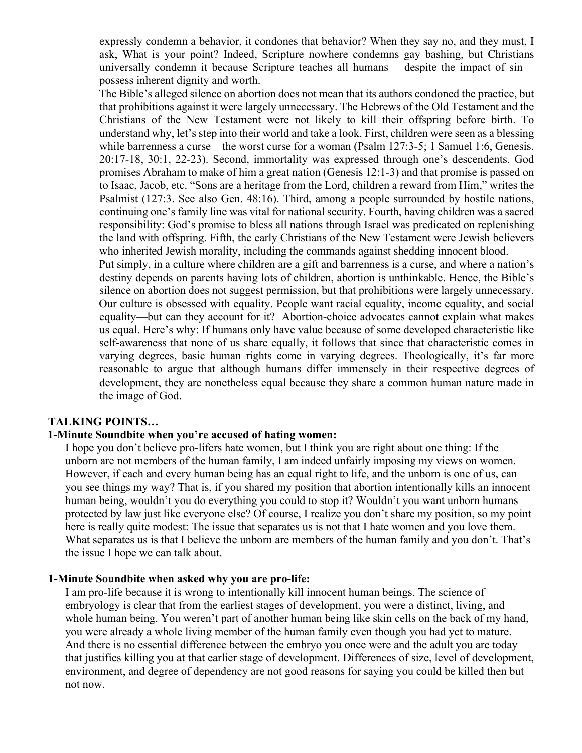expressly condemn a behavior, it condones that behavior? When they say no, and they must, I ask, What is your point? Indeed, Scripture nowhere condemns gay bashing, but Christians universally condemn it because Scripture teaches all humans— despite the impact of sin possess inherent dignity and worth.

The Bible's alleged silence on abortion does not mean that its authors condoned the practice, but that prohibitions against it were largely unnecessary. The Hebrews of the Old Testament and the Christians of the New Testament were not likely to kill their offspring before birth. To understand why, let's step into their world and take a look. First, children were seen as a blessing while barrenness a curse—the worst curse for a woman (Psalm 127:3-5; 1 Samuel 1:6, Genesis. 20:17-18, 30:1, 22-23). Second, immortality was expressed through one's descendents. God promises Abraham to make of him a great nation (Genesis 12:1-3) and that promise is passed on to Isaac, Jacob, etc. "Sons are a heritage from the Lord, children a reward from Him," writes the Psalmist (127:3. See also Gen. 48:16). Third, among a people surrounded by hostile nations, continuing one's family line was vital for national security. Fourth, having children was a sacred responsibility: God's promise to bless all nations through Israel was predicated on replenishing the land with offspring. Fifth, the early Christians of the New Testament were Jewish believers who inherited Jewish morality, including the commands against shedding innocent blood.

Put simply, in a culture where children are a gift and barrenness is a curse, and where a nation's destiny depends on parents having lots of children, abortion is unthinkable. Hence, the Bible's silence on abortion does not suggest permission, but that prohibitions were largely unnecessary. Our culture is obsessed with equality. People want racial equality, income equality, and social equality—but can they account for it? Abortion-choice advocates cannot explain what makes us equal. Here's why: If humans only have value because of some developed characteristic like self-awareness that none of us share equally, it follows that since that characteristic comes in varying degrees, basic human rights come in varying degrees. Theologically, it's far more reasonable to argue that although humans differ immensely in their respective degrees of development, they are nonetheless equal because they share a common human nature made in the image of God.

#### **TALKING POINTS…**

#### **1-Minute Soundbite when you're accused of hating women:**

I hope you don't believe pro-lifers hate women, but I think you are right about one thing: If the unborn are not members of the human family, I am indeed unfairly imposing my views on women. However, if each and every human being has an equal right to life, and the unborn is one of us, can you see things my way? That is, if you shared my position that abortion intentionally kills an innocent human being, wouldn't you do everything you could to stop it? Wouldn't you want unborn humans protected by law just like everyone else? Of course, I realize you don't share my position, so my point here is really quite modest: The issue that separates us is not that I hate women and you love them. What separates us is that I believe the unborn are members of the human family and you don't. That's the issue I hope we can talk about.

#### **1-Minute Soundbite when asked why you are pro-life:**

I am pro-life because it is wrong to intentionally kill innocent human beings. The science of embryology is clear that from the earliest stages of development, you were a distinct, living, and whole human being. You weren't part of another human being like skin cells on the back of my hand, you were already a whole living member of the human family even though you had yet to mature. And there is no essential difference between the embryo you once were and the adult you are today that justifies killing you at that earlier stage of development. Differences of size, level of development, environment, and degree of dependency are not good reasons for saying you could be killed then but not now.